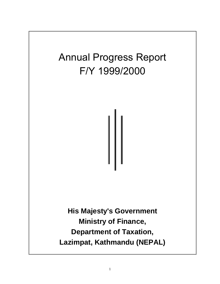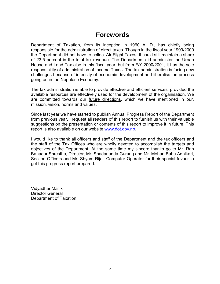## **Forewords**

Department of Taxation, from its inception in 1960 A. D., has chiefly being responsible for the administration of direct taxes. Though in the fiscal year 1999/2000 the Department did not have to collect Air Flight Taxes, it could still maintain a share of 23.5 percent in the total tax revenue. The Department did administer the Urban House and Land Tax also in this fiscal year, but from F/Y 2000/2001, it has the sole responsibility of administration of Income Taxes. The tax administration is facing new challenges because of intensity of economic development and liberalisation process going on in the Nepalese Economy.

The tax administration is able to provide effective and efficient services, provided the available resources are effectively used for the development of the organisation. We are committed towards our future directions, which we have mentioned in our, mission, vision, norms and values.

Since last year we have started to publish Annual Progress Report of the Department from previous year. I request all readers of this report to furnish us with their valuable suggestions on the presentation or contents of this report to improve it in future. This report is also available on our website www.dot.gov.np.

I would like to thank all officers and staff of the Department and the tax officers and the staff of the Tax Offices who are wholly devoted to accomplish the targets and objectives of the Department. At the same time my sincere thanks go to Mr. Ran Bahadur Shrestha, Director, Mr. Shadananda Gurung and Mr. Mohan Babu Adhikari, Section Officers and Mr. Shyam Rijal, Computer Operator for their special favour to get this progress report prepared.

Vidyadhar Mallik Director General Department of Taxation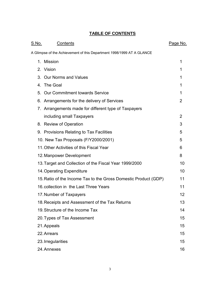## **TABLE OF CONTENTS**

| <u>S.No.</u> | <b>Contents</b>                                                       | Page No.       |
|--------------|-----------------------------------------------------------------------|----------------|
|              | A Glimpse of the Achievement of this Department 1998/1999 AT A GLANCE |                |
|              | 1. Mission                                                            | 1              |
|              | 2. Vision                                                             | 1              |
| 3.           | <b>Our Norms and Values</b>                                           | 1              |
|              | 4. The Goal                                                           | 1              |
|              | 5. Our Commitment towards Service                                     | 1              |
|              | 6. Arrangements for the delivery of Services                          | $\overline{2}$ |
|              | 7. Arrangements made for different type of Taxpayers                  |                |
|              | including small Taxpayers                                             | 2              |
|              | 8. Review of Operation                                                | 3              |
|              | 9. Provisions Relating to Tax Facilities                              | 5              |
|              | 10. New Tax Proposals (F/Y2000/2001)                                  | 5              |
|              | 11. Other Activities of this Fiscal Year                              | 6              |
|              | 12. Manpower Development                                              | 8              |
|              | 13. Target and Collection of the Fiscal Year 1999/2000                | 10             |
|              | 14. Operating Expenditure                                             | 10             |
|              | 15. Ratio of the Income Tax to the Gross Domestic Product (GDP)       | 11             |
|              | 16. collection in the Last Three Years                                | 11             |
|              | 17. Number of Taxpayers                                               | 12             |
|              | 18. Receipts and Assessment of the Tax Returns                        | 13             |
|              | 19. Structure of the Income Tax                                       | 14             |
|              | 20. Types of Tax Assessment                                           | 15             |
|              | 21. Appeals                                                           | 15             |
|              | 22. Arrears                                                           | 15             |
|              | 23. Irregularities                                                    | 15             |
|              | 24. Annexes                                                           | 16             |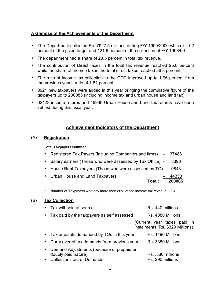## **A Glimpse of the Achievements of the Department**

- The Department collected Rs. 7927.5 millions during F/Y 1999/2000 which is 102 percent of the given target and 121.6 percent of the collection of F/Y 1998/99.
- The department had a share of 23.5 percent in total tax revenue.
- The contribution of Direct taxes in the total tax revenue reached 25.8 percent while the share of Income tax in the total direct taxes reached 86.8 percent.
- The ratio of income tax collection to the GDP improved up to 1.96 percent from the previous year's ratio of 1.81 percent.
- 8921 new taxpayers were added in this year bringing the cumulative figure of the taxpayers up to 200085 (including income tax and urban house and land tax).
- 62423 income returns and 46936 Urban House and Land tax returns have been settled during this fiscal year.

## **Achievement Indicators of the Department**

## (A) **Registration**

## **Total Taxpayers Number**

| • Registered Tax Payers (Including Companies and firms) – 137486 |
|------------------------------------------------------------------|
| • Salary earners (Those who were assessed by Tax Office) – 8398  |
| • House Rent Taxpayers (Those who were assessed by TO)- 9843     |
| • Urban House and Land Taxpayers<br>$-44358$<br>200085<br>Total: |

• Number of Taxpayers who pay more than 80% of the income tax revenue : 994

## (B) **Tax Collection**

|  | Tax withheld at source: | Rs. 440 millions |
|--|-------------------------|------------------|
|--|-------------------------|------------------|

• Tax paid by the taxpayers as self assessed : Rs. 4080 Millions

(Current year taxes paid in instalments: Rs. 3320 Millions)

| • Tax amounts demanded by TOs in this year:                         | Rs. 1490 Millions |
|---------------------------------------------------------------------|-------------------|
| • Carry over of tax demands from previous year:                     | Rs. 3380 Millions |
| • Demand Adjustments (because of prepaid or<br>doubly paid nature): | Rs. .530 millions |
| • Collections out of Demands:                                       | Rs. 290 millions  |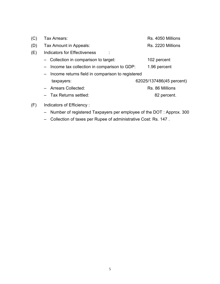| (C) | Tax Arrears:                                       | Rs. 4050 Millions        |
|-----|----------------------------------------------------|--------------------------|
| (D) | Tax Amount in Appeals:                             | Rs. 2220 Millions        |
| (E) | <b>Indicators for Effectiveness</b>                |                          |
|     | - Collection in comparison to target:              | 102 percent              |
|     | - Income tax collection in comparison to GDP:      | 1.96 percent             |
|     | - Income returns field in comparison to registered |                          |
|     | taxpayers:                                         | 62025/137486(45 percent) |
|     | - Arrears Collected:                               | Rs. 86 Millions          |
|     | - Tax Returns settled:                             | 82 percent.              |
|     |                                                    |                          |

- (F) Indicators of Efficiency :
	- Number of registered Taxpayers per employee of the DOT : Approx. 300
	- Collection of taxes per Rupee of administrative Cost: Rs. 147 .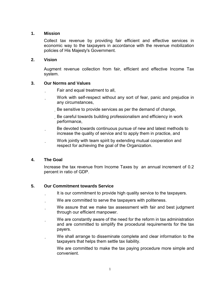## **1. Mission**

Collect tax revenue by providing fair efficient and effective services in economic way to the taxpayers in accordance with the revenue mobilization policies of His Majesty's Government.

## **2. Vision**

Augment revenue collection from fair, efficient and effective Income Tax system.

## **3. Our Norms and Values**

- Fair and equal treatment to all,
- Work with self-respect without any sort of fear, panic and prejudice in any circumstances,
	- Be sensitive to provide services as per the demand of change,
	- Be careful towards building professionalism and efficiency in work performance,
- Be devoted towards continuous pursue of new and latest methods to increase the quality of service and to apply them in practice, and
	- Work jointly with team spirit by extending mutual cooperation and respect for achieving the goal of the Organization.

## **4. The Goal**

Increase the tax revenue from Income Taxes by an annual increment of 0.2 percent in ratio of GDP.

## **5. Our Commitment towards Service**

- It is our commitment to provide high quality service to the taxpayers.
- We are committed to serve the taxpayers with politeness.
- We assure that we make tax assessment with fair and best judgment through our efficient manpower.
- We are constantly aware of the need for the reform in tax administration and are committed to simplify the procedural requirements for the tax payers.
- We shall arrange to disseminate complete and clear information to the taxpayers that helps them settle tax liability.
	- We are committed to make the tax paying procedure more simple and convenient.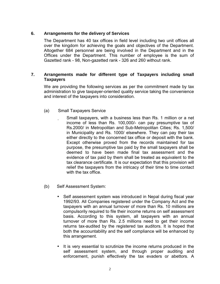## **6. Arrangements for the delivery of Services**

The Department has 40 tax offices in field level including two unit offices all over the kingdom for achieving the goals and objectives of the Department. Altogether 684 personnel are being involved in the Department and in the Offices under the Department. This number of employee is the sum of Gazetted rank - 98, Non-gazetted rank - 326 and 260 without rank.

## **7. Arrangements made for different type of Taxpayers including small Taxpayers**

We are providing the following services as per the commitment made by tax administration to give taxpayer-oriented quality service taking the convenience and interest of the taxpayers into consideration.

- (a) Small Taxpayers Service
	- Small taxpayers, with a business less than Rs. 1 million or a net income of less than Rs. 100,000/- can pay presumptive tax of Rs.2000/ in Metropolitan and Sub-Metropolitan Cities; Rs. 1,500/ in Municipality and Rs. 1000/ elsewhere. They can pay their tax either directly to the concerned tax office or deposit with the bank. Except otherwise proved from the records maintained for tax purpose, the presumptive tax paid by the small taxpayers shall be deemed to have been made final tax assessment and the evidence of tax paid by them shall be treated as equivalent to the tax clearance certificate. It is our expectation that this provision will relief the taxpayers from the intricacy of their time to time contact with the tax office.
- (b) Self Assessment System:
	- Self assessment system was introduced in Nepal during fiscal year 1992/93. All Companies registered under the Company Act and the taxpayers with an annual turnover of more than Rs. 10 millions are compulsorily required to file their income returns on self assessment basis. According to this system, all taxpayers with an annual turnover of more than Rs. 2.5 millions need to get their income returns tax-audited by the registered tax auditors. It is hoped that both the accountability and the self compliance will be enhanced by this arrangement.
	- It is very essential to scrutinize the income returns produced in the self assessment system, and through proper auditing and enforcement, punish effectively the tax evaders or abettors. A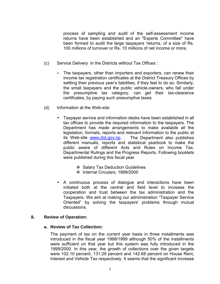process of sampling and audit of the self-assessment income returns have been established and an "Experts Committee" have been formed to audit the large taxpayers 'returns, of a size of Rs. 100 millions of turnover or Rs. 10 millions of net income or more.

- (c) Service Delivery in the Districts without Tax Offices :
	- The taxpayers, other than importers and exporters, can renew their income tax registration certificates at the District Treasury Offices by settling their previous year's liabilities, if they feel to do so. Similarly, the small taxpayers and the public vehicle-owners, who fall under the presumptive tax category, can get their tax-clearance certificates, by paying such presumptive taxes.
- (d) Information at the Web-site:
	- Taxpayer service and information desks have been established in all tax offices to provide the required information to the taxpayers. The Department has made arrangements to make available all the legislation, formats, reports and relevant information to the public at its Web-site www.dot.gov.np. . The Department also publishes different manuals, reports and statistical yearbook to make the public aware of different Acts and Rules on Income Tax, Departmental Rulings and the Progress Reports. Following booklets were published during this fiscal year.
		- ❖ Salary Tax Deduction Guidelines
		- Internal Circulars, 1999/2000
	- A continuous process of dialogue and interactions have been initiated both at the central and field level to increase the cooperation and trust between the tax administration and the Taxpayers. We aim at making our administration "Taxpayer Service Oriented" by solving the taxpayers' problems through mutual discussions.

#### **8. Review of Operation:**

#### **a. Review of Tax Collection:**

The payment of tax on the current year basis in three installments was introduced in the fiscal year 1998/1999 although 50% of the installments were sufficient on that year but this system was fully introduced in the 1999/2000. In this year, the growth of collections over the given targets were 102.10 percent, 131.29 percent and 142.68 percent on House Rent, Interest and Vehicle Tax respectively. It seems that the significant increase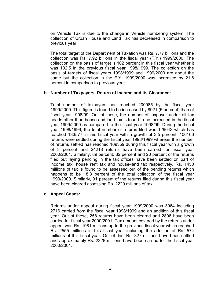on Vehicle Tax is due to the change in Vehicle numbering system. The collection of Urban House and Land Tax has decreased in comparison to previous year.

The total target of the Department of Taxation was Rs. 7.77 billions and the collection was Rs. 7.92 billions in the fiscal year (F.Y.) 1999/2000. The collection on the basis of target is 102 percent in this fiscal year whether it was 102.5 in the previous fiscal year 1998/1999. The collection on the basis of targets of fiscal years 1998/1999 and 1999/2000 are about the same but the collection in the F.Y. 1999/2000 was increased by 21.6 percent in comparison to previous year.

## **b. Number of Taxpayers, Return of Income and its Clearance:**

Total number of taxpayers has reached 200085 by the fiscal year 1999/2000. This figure is found to be increased by 8921 (5 percent) than of fiscal year 1998/99. Out of these, the number of taxpayer under all tax heads other than house and land tax is found to be increased in the fiscal year 1999/2000 as compared to the fiscal year 1998/99. During the fiscal year 1998/1999, the total number of returns filed was 129043 which has reached 133577 in this fiscal year with a growth of 3.5 percent. 106166 returns were settled during the fiscal year 1998/1999 whereas the number of returns settled has reached 109359 during this fiscal year with a growth of 3 percent and 24218 returns have been carried for fiscal year 2000/2001. Similarly, 89 percent, 32 percent and 20 percent of the returns filed but laying pending in the tax offices have been settled on part of income tax, house rent tax and house-land tax respectively. Rs. 1450 millions of tax is found to be assessed out of the pending returns which happens to be 18.3 percent of the total collection of the fiscal year 1999/2000. Similarly, 91 percent of the returns filed during this fiscal year have been cleared assessing Rs. 2220 millions of tax.

#### **c. Appeal Cases:**

Returns under appeal during fiscal year 1999/2000 was 3064 including 2716 carried from the fiscal year 1998/1999 and an addition of this fiscal year. Out of these, 258 returns have been cleared and 2806 have been carried for fiscal year 2000/2001. Tax amount covered by the returns under appeal was Rs. 1981 millions up to the previous fiscal year which reached Rs. 2555 millions in this fiscal year including the addition of Rs. 574 millions of this fiscal year. Out of this, Rs. 327 millions have been settled and approximately Rs. 2228 millions have been carried for the fiscal year 2000/2001.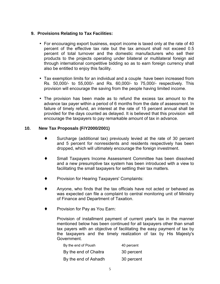## **9. Provisions Relating to Tax Facilities:**

- For encouraging export business, export income is taxed only at the rate of 40 percent of the effective tax rate but the tax amount shall not exceed 0.5 percent of total turnover and the domestic manufacturers who sell their products to the projects operating under bilateral or multilateral foreign aid through international competitive bidding so as to earn foreign currency shall also be entitled to enjoy this facility.
- Tax exemption limits for an individual and a couple have been increased from Rs. 50,000/- to 55,000/- and Rs. 60,000/- to 75,000/- respectively. This provision will encourage the saving from the people having limited income.
- The provision has been made as to refund the excess tax amount to the advance tax payer within a period of 6 months from the date of assessment. In failure of timely refund, an interest at the rate of 15 percent annual shall be provided for the days counted as delayed. It is believed that this provision will encourage the taxpayers to pay remarkable amount of tax in advance.

## **10. New Tax Proposals (F/Y2000/2001)**

- ♦ Surcharge (additional tax) previously levied at the rate of 30 percent and 5 percent for nonresidents and residents respectively has been dropped, which will ultimately encourage the foreign investment.
- Small Taxpayers Income Assessment Committee has been dissolved and a new presumptive tax system has been introduced with a view to facilitating the small taxpayers for settling their tax matters.
- Provision for Hearing Taxpayers' Complaints:
- ♦ Anyone, who finds that the tax officials have not acted or behaved as was expected can file a complaint to central monitoring unit of Ministry of Finance and Department of Taxation.
- Provision for Pay as You Earn:

Provision of installment payment of current year's tax in the manner mentioned below has been continued for all taxpayers other than small tax payers with an objective of facilitating the easy payment of tax by the taxpayers and the timely realization of tax by His Majesty's Government.

| By the end of Poush   | 40 percent |
|-----------------------|------------|
| By the end of Chaitra | 30 percent |
| By the end of Ashadh  | 30 percent |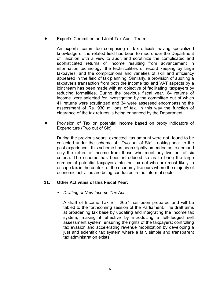Expert's Committee and Joint Tax Audit Team:

An expert's committee comprising of tax officials having specialized knowledge of the related field has been formed under the Department of Taxation with a view to audit and scrutinize the complicated and sophisticated returns of income resulting from advancement in information technology; the technicalities of record keeping by large taxpayers; and the complications and varieties of skill and efficiency appeared in the field of tax planning. Similarly, a provision of auditing a taxpayer's transaction from both the income tax and VAT aspects by a joint team has been made with an objective of facilitating taxpayers by reducing formalities. During the previous fiscal year, 64 returns of income were selected for investigation by the committee out of which 41 returns were scrutinized and 34 were assessed encompassing the assessment of Rs. 930 millions of tax. In this way the function of clearance of the tax returns is being enhanced by the Department.

Provision of Tax on potential income based on proxy indicators of Expenditure (Two out of Six):

During the previous years, expected tax amount were not found to be collected under the scheme of 'Two out of Six'. Looking back to the past experience, this scheme has been slightly amended as to demand only the return of income from those who meet any two out of six criteria. The scheme has been introduced so as to bring the large number of potential taxpayers into the tax net who are most likely to escape tax in the context of the economy like ours where the majority of economic activities are being conducted in the informal sector

## **11. Other Activities of this Fiscal Year:**

• *Drafting of New Income Tax Act*:

A draft of Income Tax Bill, 2057 has been prepared and will be tabled to the forthcoming session of the Parliament. The draft aims at broadening tax base by updating and integrating the income tax system; making it effective by introducing a full-fledged self assessment system; ensuring the rights of the taxpayers; controlling tax evasion and accelerating revenue mobilization by developing a just and scientific tax system where a fair, simple and transparent tax administration exists.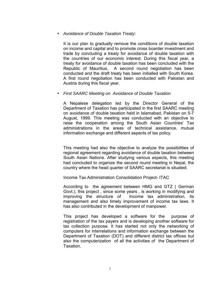## • *Avoidance of Double Taxation Treaty*:

It is our plan to gradually remove the conditions of double taxation on income and capital and to promote cross boarder investment and trade by concluding a treaty for avoidance of double taxation with the countries of our economic interest. During this fiscal year, a treaty for avoidance of double taxation has been concluded with the Republic of Mauritius. A second round negotiation has been conducted and the draft treaty has been initialled with South Korea. A first round negotiation has been conducted with Pakistan and Austria during this fiscal year.

### • *First SAARC Meeting on Avoidance of Double Taxation*

A Nepalese delegation led by the Director General of the Department of Taxation has participated in the first SAARC meeting on avoidance of double taxation held in Islamabad, Pakistan on 5-7 August, 1999. This meeting was conducted with an objective to raise the cooperation among the South Asian Countries' Tax administrations in the areas of technical assistance, mutual information exchange and different aspects of tax policy.

This meeting had also the objective to analyze the possibilities of regional agreement regarding avoidance of double taxation between South Asian Nations. After studying various aspects, this meeting had concluded to organize the second round meeting in Nepal, the country where the head quarter of SAARC secretariat is situated.

Income Tax Administration Consolidation Project- ITAC

According to the agreement between HMG and GTZ ( German Govt.), this project , since some years , is working in modifying and improving the structure of Income tax administration, its management and also timely improvement of income tax laws. It has also contributed in the development of manpower.

This project has developed a software for the purpose of registration of the tax payers and is developing another software for tax collection purpose. It has started not only the networking of computers for interrelations and information exchange between the Department of Taxation (DOT) and different district tax offices but also the computerization of all the activities of the Department of Taxation.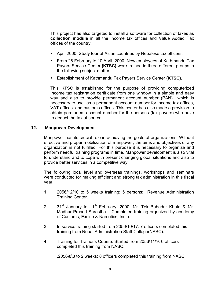This project has also targeted to install a software for collection of taxes as **collection module** in all the Income tax offices and Value Added Tax offices of the country.

- April 2000: Study tour of Asian countries by Nepalese tax officers.
- From 28 February to 10 April, 2000: New employees of Kathmandu Tax Payers Service Center **(KTSC)** were trained in three different groups in the following subject matter.
- Establishment of Kathmandu Tax Payers Service Center **(KTSC).**

This **KTSC** is established for the purpose of providing computerized Income tax registration certificate from one window in a simple and easy way and also to provide permanent account number (PAN) which is necessary to use as a permanent account number for income tax offices, VAT offices and customs offices. This center has also made a provision to obtain permanent account number for the persons (tax payers) who have to deduct the tax at source.

### **12. Manpower Development**

Manpower has its crucial role in achieving the goals of organizations. Without effective and proper mobilization of manpower, the aims and objectives of any organization is not fulfilled. For this purpose it is necessary to organize and perform needful training programs in time. Manpower development is also vital to understand and to cope with present changing global situations and also to provide better services in a competitive way.

The following local level and overseas trainings, workshops and seminars were conducted for making efficient and strong tax administration in this fiscal year.

- 1. 2056/12/10 to 5 weeks training: 5 persons: Revenue Administration Training Center.
- 2. 31<sup>st</sup> January to 11<sup>th</sup> February, 2000: Mr. Tek Bahadur Khatri & Mr. Madhur Prasad Shrestha – Completed training organized by academy of Customs, Excise & Narcotics, India.
- 3. In service training started from 2056\10\17: 7 officers completed this training from Nepal Administration Staff College(NASC).
- 4. Training for Trainer's Course: Started from 2056\11\9: 6 officers completed this training from NASC.

.2056\8\8 to 2 weeks: 8 officers completed this training from NASC.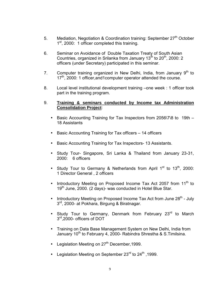- 5. Mediation, Negotiation & Coordination training: September 27<sup>th</sup> October 1<sup>st</sup>, 2000: 1 officer completed this training.
- 6. Seminar on Avoidance of Double Taxation Treaty of South Asian Countries, organized in Srilanka from January  $13^{th}$  to  $20^{th}$ , 2000: 2 officers (under Secretary) participated in this seminar.
- 7. Computer training organized in New Delhi, India, from January  $9<sup>th</sup>$  to 17<sup>th</sup>, 2000: 1 officer, and 1 computer operator attended the course.
- 8. Local level institutional development training –one week : 1 officer took part in the training program.

## 9. **Training & seminars conducted by Income tax Administration Consolidation Project**:

- Basic Accounting Training for Tax Inspectors from 2056\7\8 to 19th 18 Assistants
- Basic Accounting Training for Tax officers 14 officers
- Basic Accounting Training for Tax Inspectors- 13 Assistants.
- Study Tour- Singapore, Sri Lanka & Thailand from January 23-31, 2000: 6 officers
- Study Tour to Germany & Netherlands from April  $1<sup>st</sup>$  to  $13<sup>th</sup>$ , 2000: 1 Director General , 2 officers
- Introductory Meeting on Proposed Income Tax Act 2057 from  $11<sup>th</sup>$  to 19<sup>th</sup> June, 2000. (2 days)- was conducted in Hotel Blue Star.
- Introductory Meeting on Proposed Income Tax Act from June 28<sup>th</sup> July 3<sup>rd</sup>, 2000- at Pokhara, Birgung & Biratnagar.
- Study Tour to Germany, Denmark from February 23<sup>rd</sup> to March 3<sup>rd</sup>,2000- officers of DOT
- Training on Data Base Management System on New Delhi, India from January 10<sup>th</sup> to February 4, 2000- Rabindra Shrestha & S.Timilsina.
- Legislation Meeting on  $27<sup>th</sup>$  December, 1999.
- Legislation Meeting on September  $23<sup>rd</sup>$  to  $24<sup>th</sup>$ , 1999.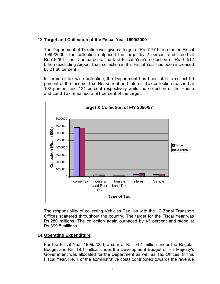## 13. **Target and Collection of the Fiscal Year 1999/2000**

The Department of Taxation was given a target of Rs. 7.77 billion for the Fiscal 1999/2000. The collection outpaced the target by 2 percent and stood at Rs.7.928 billion. Compared to the last Fiscal Year's collection of Rs. 6.512 billion (excluding Airport Tax), collection in this Fiscal Year has been increased by 21.60 percent.

In terms of tax wise collection, the Department has been able to collect 99 percent of the Income Tax. House rent and Interest Tax collection reached at 102 percent and 131 percent respectively while the collection of the House and Land Tax remained at 91 percent of the target.



The responsibility of collecting Vehicles Tax lies with the 12 Zonal Transport Offices scattered throughout the country. The target for the Fiscal Year was Rs.280 millions. The collection again outpaced by 43 percent and stood at Rs.399.5 millions.

## **14. Operating Expenditure**

For the Fiscal Year 1999/2000, a sum of Rs. 54.1 million under the Regular Budget and Rs. 19.1 million under the Development Budget of His Majesty's Government was allocated for the Department as well as Tax Offices. In this Fiscal Year, Re. 1 of the administrative costs contributed towards the revenue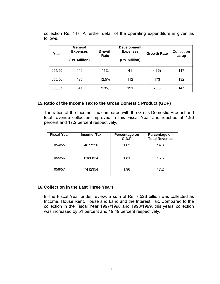collection Rs. 147. A further detail of the operating expenditure is given as follows.

| Year   | General<br><b>Expenses</b><br>(Rs. Million) | <b>Growth</b><br>Rate | <b>Development</b><br><b>Expenses</b><br>(Rs. Million) | <b>Growth Rate</b> | <b>Collection</b><br>as up |
|--------|---------------------------------------------|-----------------------|--------------------------------------------------------|--------------------|----------------------------|
| 054/55 | 440                                         | 11%                   | 41                                                     | (-36)              | 117                        |
| 055/56 | 495                                         | 12.5%                 | 112                                                    | 173                | 132                        |
| 056/57 | 541                                         | 9.3%                  | 191                                                    | 70.5               | 147                        |

## **15. Ratio of the Income Tax to the Gross Domestic Product (GDP)**

The ratios of the Income Tax compared with the Gross Domestic Product and total revenue collection improved in this Fiscal Year and reached at 1.96 percent and 17.2 percent respectively.

| <b>Fiscal Year</b> | Income Tax | Percentage on<br>G.D.P | Percentage on<br><b>Total Revenue</b> |
|--------------------|------------|------------------------|---------------------------------------|
| 054/55             | 4877226    | 1.62                   | 14.8                                  |
| 055/56             | 6180824    | 1.81                   | 16.6                                  |
| 056/57             | 7412354    | 1.96                   | 17.2                                  |

## **16. Collection in the Last Three Years.**

In the Fiscal Year under review, a sum of Rs. 7.528 billion was collected as Income, House Rent, House and Land and the Interest Tax. Compared to the collection in the Fiscal Year 1997/1998 and 1998/1999, this years' collection was increased by 51 percent and 19.49 percent respectively.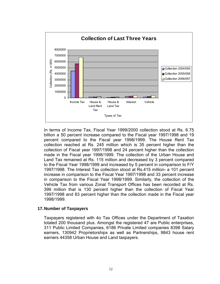

In terms of Income Tax, Fiscal Year 1999/2000 collection stood at Rs. 6.75 billion a 50 percent increase compared to the Fiscal year 1997/1998 and 19 percent compared to the Fiscal year 1998/1999. The House Rent Tax collection reached at Rs. 245 million which is 35 percent higher than the collection of Fiscal year 1997/1998 and 24 percent higher than the collection made in the Fiscal year 1998/1999. The collection of the Urban House and Land Tax remained at Rs. 115 million and decreased by 3 percent compared to the Fiscal Year 1998/1999 and increased by 5 percent in comparison to F/Y 1997/1998. The Interest Tax collection stood at Rs.415 million- a 101 percent increase in comparison to the Fiscal Year 1997/1998 and 33 percent increase in comparison to the Fiscal Year 1998/1999. Similarly, the collection of the Vehicle Tax from various Zonal Transport Offices has been recorded at Rs. 399 million that is 130 percent higher than the collection of Fiscal Year 1997/1998 and 83 percent higher than the collection made in the Fiscal year 1998/1999.

## **17. Number of Taxpayers**

Taxpayers registered with 4o Tax Offices under the Department of Taxation totaled 200 thousand plus. Amongst the registered 47 are Public enterprises, 311 Public Limited Companies, 6186 Private Limited companies 8398 Salary earners, 130942 Proprietorships as well as Partnerships, 9843 house rent earners 44358 Urban House and Land taxpayers.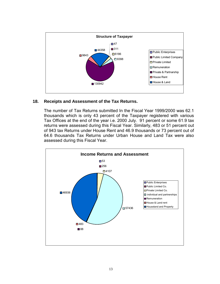

## **18. Receipts and Assessment of the Tax Returns.**

The number of Tax Returns submitted In the Fiscal Year 1999/2000 was 62.1 thousands which is only 43 percent of the Taxpayer registered with various Tax Offices at the end of the year i.e. 2000 July. 91 percent or some 61.9 tax returns were assessed during this Fiscal Year. Similarly, 483 or 51 percent out of 943 tax Returns under House Rent and 46.9 thousands or 73 percent out of 64.6 thousands Tax Returns under Urban House and Land Tax were also assessed during this Fiscal Year.

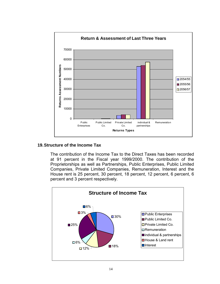

## **19. Structure of the Income Tax**

The contribution of the Income Tax to the Direct Taxes has been recorded at 91 percent in the Fiscal year 1999/2000. The contribution of the Proprietorships as well as Partnerships, Public Enterprises, Public Limited Companies, Private Limited Companies, Remuneration, Interest and the House rent is 25 percent, 30 percent, 18 percent, 12 percent, 6 percent, 6 percent and 3 percent respectively.

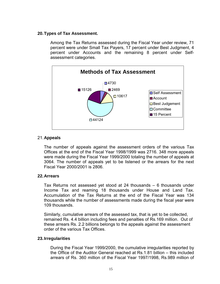## **20. Types of Tax Assessment.**

Among the Tax Returns assessed during the Fiscal Year under review, 71 percent were under Small Tax Payers, 17 percent under Best Judgment, 4 percent under Accounts and the remaining 8 percent under Selfassessment categories.



## 21. **Appeals**

The number of appeals against the assessment orders of the various Tax Offices at the end of the Fiscal Year 1998/1999 was 2716. 348 more appeals were made during the Fiscal Year 1999/2000 totaling the number of appeals at 3064. The number of appeals yet to be listened or the arrears for the next Fiscal Year 2000/2001 is 2806.

## **22. Arrears**

Tax Returns not assessed yet stood at 24 thousands – 6 thousands under Income Tax and reaming 18 thousands under House and Land Tax. Accumulation of the Tax Returns at the end of the Fiscal Year was 134 thousands while the number of assessments made during the fiscal year were 109 thousands.

Similarly, cumulative arrears of the assessed tax, that is yet to be collected, remained Rs. 4.4 billion including fees and penalties of Rs.169 million. Out of these arrears Rs. 2.2 billions belongs to the appeals against the assessment order of the various Tax Offices.

## **23. Irregularities**

During the Fiscal Year 1999/2000, the cumulative irregularities reported by the Office of the Auditor General reached at Rs.1.81 billion – this included arrears of Rs. 360 million of the Fiscal Year 1997/1998, Rs.989 million of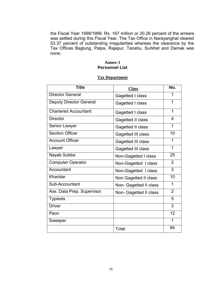the Fiscal Year 1998/1999. Rs. 167 million or 20.26 percent of the arrears was settled during this Fiscal Year. The Tax Office in Narayanghat cleared 53.37 percent of outstanding irregularities whereas the clearance by the Tax Offices Baglung, Palpa, Rajapur, Tanahu, Surkhet and Damak was none.

#### **Annex-1 Personnel List**

## **Tax Department**

| <b>Title</b>                   | <b>Class</b>           | No.            |
|--------------------------------|------------------------|----------------|
| <b>Director General</b>        | Gagetted I class       | 1              |
| <b>Deputy Director General</b> | Gagetted I class       | 1              |
| <b>Chartered Accountant</b>    | Gagetted I class       | 1              |
| <b>Director</b>                | Gagetted II class      | 4              |
| Senior Lawyer                  | Gagetted II class      | 1              |
| <b>Section Officer</b>         | Gagetted III class     | 10             |
| <b>Account Officer</b>         | Gagetted III class     | 1              |
| Lawyer                         | Gagetted III class     | 1              |
| Nayab Subba                    | Non-Gagetted I class   | 25             |
| <b>Computer Operator</b>       | Non-Gagetted I class   | $\overline{2}$ |
| Accountant                     | Non-Gagetted I class   | 3              |
| Kharidar                       | Non Gagetted II class  | 10             |
| Sub-Accountant                 | Non- Gagetted II class | 1              |
| Ass. Data Prep. Supervisor     | Non- Gagetted II class | $\overline{2}$ |
| <b>Typiests</b>                |                        | 5              |
| <b>Driver</b>                  |                        | 3              |
| Peon                           |                        | 12             |
| Sweeper                        |                        | 1              |
|                                | Total                  | 84             |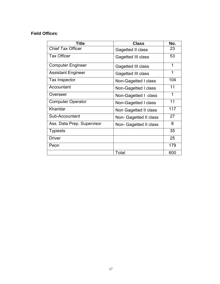## **Field Offices**:

| Title                      | <b>Class</b>           | No. |
|----------------------------|------------------------|-----|
| <b>Chief Tax Officer</b>   | Gagetted II class      | 23  |
| <b>Tax Officer</b>         | Gagetted III class     | 53  |
| <b>Computer Engineer</b>   | Gagetted III class     | 1   |
| <b>Assistant Engineer</b>  | Gagetted III class     | 1   |
| Tax Inspector              | Non-Gagetted I class   | 104 |
| Accountant                 | Non-Gagetted I class   | 11  |
| Overseer                   | Non-Gagetted I class   | 1   |
| <b>Computer Operator</b>   | Non-Gagetted I class   | 11  |
| Kharidar                   | Non Gagetted II class  | 117 |
| Sub-Accountant             | Non- Gagetted II class | 27  |
| Ass. Data Prep. Supervisor | Non- Gagetted II class | 8   |
| <b>Typiests</b>            |                        | 35  |
| <b>Driver</b>              |                        | 25  |
| Peon                       |                        | 179 |
|                            | Total                  | 600 |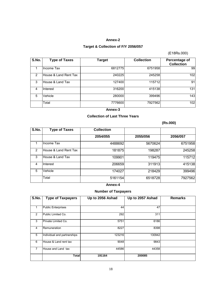#### **Annex-2**

## **Target & Collection of F/Y 2056/057**

### (E18Rs.000)

| S.No. | <b>Type of Taxes</b>  | <b>Target</b> | <b>Collection</b> | Percentage of<br><b>Collection</b> |
|-------|-----------------------|---------------|-------------------|------------------------------------|
|       | Income Tax            | 6812775       | 6751958           | 99                                 |
| 2     | House & Land Rent Tax | 240225        | 245258            | 102                                |
| 3     | House & Land Tax      | 127400        | 115712            | 91                                 |
| 4     | Interest              | 316200        | 415138            | 131                                |
| 5     | Vehicle               | 280000        | 399496            | 143                                |
|       | Total                 | 7776600       | 7927562           | 102                                |

#### **Annex-3**

#### **Collection of Last Three Years**

## **(Rs.000)**

| S.No. | <b>Type of Taxes</b>  | <b>Collection</b> |          |          |
|-------|-----------------------|-------------------|----------|----------|
|       |                       | 2054/055          | 2055/056 | 2056/057 |
|       | Income Tax            | 4488692           | 5670624  | 6751958  |
| 2     | House & Land Rent Tax | 181875            | 198287   | 245258   |
| 3     | House & Land Tax      | 109901            | 119475   | 115712   |
| 4     | Interest              | 206659            | 311913   | 415138   |
| 5     | Vehicle               | 174027            | 218429   | 399496   |
|       | Total                 | 5161154           | 6518728  | 7927562  |

### **Annex-4**

## **Number of Taxpayers**

| S.No. | <b>Type of Taxpayers</b>    | Up to 2056 Ashad | Up to 2057 Ashad | <b>Remarks</b> |
|-------|-----------------------------|------------------|------------------|----------------|
|       |                             |                  |                  |                |
|       | <b>Public Enterprises</b>   | 44               | 47               |                |
| 2     | Public Limited Co.          | 292              | 311              |                |
| 3     | Private Limited Co.         | 5751             | 6186             |                |
| 4     | Remuneration                | 8227             | 8398             |                |
| 5     | Individual and partnerships | 123216           | 130942           |                |
| 6     | House & Land rent tax       | 9048             | 9843             |                |
| 7     | House and Land tax          | 44586            | 44358            |                |
|       | <b>Total</b>                | 191164           | 200085           |                |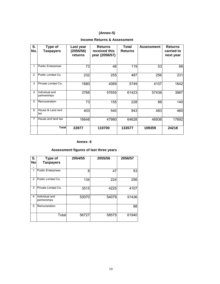## **(Annex-5)**

## **Income Returns & Assessment**

| S.<br>No. | Type of<br><b>Taxpayers</b>    | Last year<br>(2055/56)<br>returns | <b>Returns</b><br>received this<br>year (2056/57) | Total<br><b>Returns</b> | <b>Assessment</b> | <b>Returns</b><br>carried to<br>next year |
|-----------|--------------------------------|-----------------------------------|---------------------------------------------------|-------------------------|-------------------|-------------------------------------------|
|           | <b>Public Enterprises</b>      | 73                                | 46                                                | 119                     | 53                | 66                                        |
| 2         | Public Limited Co.             | 232                               | 255                                               | 487                     | 256               | 231                                       |
| 3         | Private Limited Co.            | 1680                              | 4069                                              | 5749                    | 4107              | 1642                                      |
| 4         | Individual and<br>partnerships | 3768                              | 57655                                             | 61423                   | 57436             | 3987                                      |
| 5         | Remuneration                   | 73                                | 155                                               | 228                     | 88                | 140                                       |
| 6         | House & Land rent<br>tax       | 403                               | 540                                               | 943                     | 483               | 460                                       |
| 7         | House and land tax             | 16648                             | 47980                                             | 64628                   | 46936             | 17692                                     |
|           | <b>Total</b>                   | 22877                             | 110700                                            | 133577                  | 109359            | 24218                                     |

#### **Annex- 6**

## **Assessment figures of last three years**

| S.<br>No | Type of<br><b>Taxpayers</b>    | 2054/55 | 2055/56 | 2056/57 |
|----------|--------------------------------|---------|---------|---------|
| 1        | <b>Public Enterprises</b>      | 8       | 47      | 53      |
| 2        | Public Limited Co.             | 134     | 224     | 256     |
| 3        | Private Limited Co.            | 3515    | 4225    | 4107    |
| 4        | Individual and<br>partnerships | 53070   | 54079   | 57436   |
| 5        | Remuneration                   |         |         | 88      |
|          | Total                          | 56727   | 58575   | 61940   |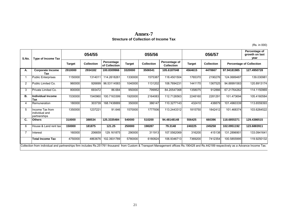## **Annex-7 Strecture of Collection of Income Tax**

(Rs. in 000)

| S.No. | <b>Type of Income Tax</b>                                                                                                                                                             |               | 054/55            |                             |               | 055/56            |                                    |                                    | 056/57  |             | Percentage of<br>growth on last<br>year |
|-------|---------------------------------------------------------------------------------------------------------------------------------------------------------------------------------------|---------------|-------------------|-----------------------------|---------------|-------------------|------------------------------------|------------------------------------|---------|-------------|-----------------------------------------|
|       |                                                                                                                                                                                       | <b>Target</b> | <b>Collection</b> | Percentage<br>of Collection | <b>Target</b> | <b>Collection</b> | Percentage of<br><b>Collection</b> | <b>Target</b><br><b>Collection</b> |         |             | <b>Percentage of Collection</b>         |
| А.    | <b>Corporate Income</b><br>Tax                                                                                                                                                        | 2910000       | 2934182           | 100.8309966                 | 3320000       | 3506541           | 105.6187048                        | 4564615                            | 4470667 | 97.94181985 | 127.4950728                             |
|       | <b>Public Enterprises</b>                                                                                                                                                             | 1150000       | 1314011           | 114.2618261                 | 1330000       | 1575387           | 118.4501504                        | 1765370                            | 2190276 | 124.0689487 | 139.030981                              |
| 2     | Public Limited Co.                                                                                                                                                                    | 960000        | 926699            | 96.53114583                 | 1040000       | 1131202           | 108.7694231                        | 1441170                            | 1367525 | 94.88991583 | 120.8913174                             |
| 3     | Private Limited Co.                                                                                                                                                                   | 800000        | 693472            | 86.684                      | 950000        | 799952            | 84.20547368                        | 1358075                            | 912866  | 67.21764262 | 114.1150969                             |
| В.    | Individual Income<br>Tax                                                                                                                                                              | 1530000       | 1540960           | 100.7163399                 | 1920000       | 2164083           | 112.7126563                        | 2248160                            | 2281291 | 101.473694  | 105.4160584                             |
| 4     | Remuneration                                                                                                                                                                          | 180000        | 303739            | 168.7438889                 | 350000        | 386147            | 110.3277143                        | 432410                             | 438879  | 101.4960339 | 113.6559393                             |
| 5     | Income Tax from<br>individual and<br>partnerships                                                                                                                                     | 1350000       | 1237221           | 91.646                      | 1570000       | 1777936           | 113.2443312                        | 1815750                            | 1842412 | 101.468374  | 103.6264522                             |
| C.    | <b>Others</b>                                                                                                                                                                         | 310000        | 388534            | 125.3335484                 | 540000        | 510200            | 94.48148148                        | 556425                             | 660396  | 118.6855371 | 129.4386515                             |
| 6     | House & Land rent tax                                                                                                                                                                 | 150000        | 181875            | 121.25                      | 250000        | 198287            | 79.3148                            | 240225                             | 245258  | 102.0951192 | 123.6883911                             |
|       | Interest                                                                                                                                                                              | 160000        | 206659            | 129.161875                  | 290000        | 311913            | 107.5562069                        | 316200                             | 415138  | 131.2896901 | 133.0941641                             |
|       | <b>Total Income Tax</b>                                                                                                                                                               | 4750000       | 4863676           | 102.3931789                 | 5780000       | 6180824           | 106.9346713                        | 7369200                            | 7412354 | 100.5855995 | 119.9250132                             |
|       | Collection from individual and partnerships firm includes Rs.251761 thousand from Custom & Transport Management offices Rs.190428 and Rs.442189 respectively as a Advance Income Tax. |               |                   |                             |               |                   |                                    |                                    |         |             |                                         |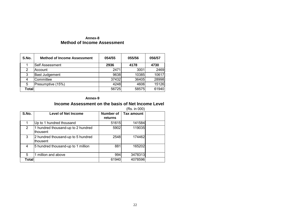#### **Annex-8 Method of Income Assessment**

| S.No. | <b>Method of Income Assessment</b> | 054/55 | 055/56 | 056/57 |
|-------|------------------------------------|--------|--------|--------|
|       | lSelf Assessment                   | 2936   | 4178   | 4730   |
| 2     | lAccount                           | 2471   | 3001   | 2469   |
| 3     | <b>Bast Judgement</b>              | 9638   | 10385  | 10617  |
|       | <b>Committee</b>                   | 37432  | 36405  | 28998  |
| 5     | Presumptive (15%)                  | 4248   | 4606   | 15126  |
| Total |                                    | 56725  | 58575  | 61940  |

#### **Annex-9**

## **Income Assessment on the basis of Net Income Level**

|        |                                                       |                             | (Rs. in 000) |  |
|--------|-------------------------------------------------------|-----------------------------|--------------|--|
| S.No.  | <b>Level of Net Income</b>                            | <b>Number of</b><br>returns | Tax amount   |  |
|        | Up to 1 hundred thousand                              | 51615                       | 141584       |  |
| 2      | 1 hundred thousand-up to 2 hundred<br>lthousent       | 5902                        | 119035       |  |
| 3      | 2 hundred thousand-up to 5 hundred<br><b>thousent</b> | 2548                        | 174462       |  |
| 4      | 5 hundred thousand-up to 1 million                    | 881                         | 165202       |  |
| 5      | million and above                                     | 994                         | 3478313      |  |
| Totall |                                                       | 61940                       | 4078596      |  |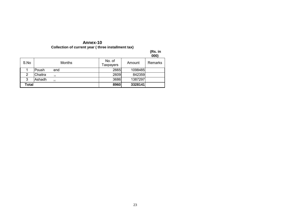### **Annex-10 Collection of current year ( three installment tax)**

|       |         |        |                     |         | (Rs. in<br>000) |
|-------|---------|--------|---------------------|---------|-----------------|
| S.No  |         | Months | No. of<br>Taxpayers | Amount  | Remarks         |
|       | Poush   | end    | 2665                | 1098485 |                 |
| 2     | Chaitra | ,,     | 2609                | 842359  |                 |
| 3     | Ashadh  | , ,    | 3686                | 1387297 |                 |
| Total |         |        | 8960                | 3328141 |                 |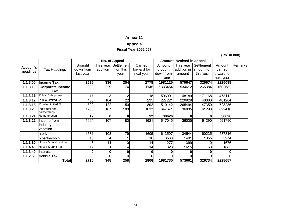### An**nex-11**

## **Appeals**

### **Fiscal Year 2056/057**

 **(Rs. in 000)** 

|           |                                |                |           | No. of Appeal |             |           | Amount involved in appeal |            |             |                |
|-----------|--------------------------------|----------------|-----------|---------------|-------------|-----------|---------------------------|------------|-------------|----------------|
| Account's |                                | <b>Brought</b> | This year | Settlemen     | Carried     | Amount    | This year                 | Settlement | Amount      | <b>Remarks</b> |
| neadings  | Tax Headings                   | down from      | addition  | t on this     | forward for | brought   | addition in               | amoumt on  | carried     |                |
|           |                                | last year      |           | year          | next year   | down from | amount                    | this yesr  | forward for |                |
|           |                                |                |           |               |             | last year |                           |            | next year   |                |
| 1.1.3.00  | <b>Income Tax</b>              | 2696           | 336       | 254           | 2778        | 1981125   | 570647                    | 326674     | 2225098     |                |
| 1.1.3.10  | <b>Corporate Income</b>        | 990            | 229       | 74            | 1145        | 1333454   | 534612                    | 265384     | 1602682     |                |
|           | Tax                            |                |           |               |             |           |                           |            |             |                |
| 1.1.3.11  | Public Enterprises             | 17             | 3         | 2             | 18          | 596091    | 48189                     | 171168     | 473112      |                |
| 1.1.3.12  | Public Limited Co.             | 153            | 104       | 22            | 235         | 227221    | 220929                    | 46866      | 401284      |                |
| 1.1.3.13  | Private Limited Co.            | 820            | 122       | 50            | 892         | 510142    | 265494                    | 47350      | 728286      |                |
| 1.1.3.20  | Individual and<br>partnerships | 1706           | 107       | 180           | 1633        | 647671    | 36035                     | 61290      | 622416      |                |
| 1.1.3.21  | Remuneration                   | 12             | 0         | $\bf{0}$      | 12          | 30626     |                           | 0          | 30626       |                |
| 1.1.3.22  | Income from                    | 1694           | 107       | 180           | 1621        | 617045    | 36035                     | 61290      | 591790      |                |
|           | Industry trade and             |                |           |               |             |           |                           |            |             |                |
|           | vocation                       |                |           |               |             |           |                           |            |             |                |
|           | a.private                      | 1681           | 103       | 179           | 1605        | 613507    | 34544                     | 60235      | 587816      |                |
|           | b.partnership                  | 13             |           |               | 16          | 3538      | 1491                      | 1055       | 3974        |                |
| 1.1.3.30  | House & Land rent tax          | 3              | 11        | 0             | 14          | 277       | 1399                      |            | 1676        |                |
| 1.1.4.40  | House & Land tax               | 17             |           |               | 14          | 328       | 1615                      | 60         | 1883        |                |
| 1.1.3.40  | Interest                       | 0              | 0         | 0             | 0           | 0         |                           | O          | 0           |                |
| 1.1.2.50  | Vehicle Tax                    | 0              |           | 0             |             | 0         |                           |            |             |                |
|           | Total                          | 2716           | 348       | 258           | 2806        | 1981730   | 573661                    | 326734     | 2228657     |                |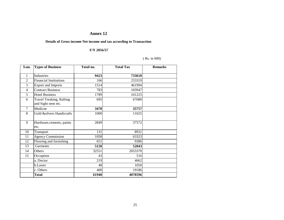## **Annex 12**

#### **Details of Gross income Net income and tax according to Transaction**

#### **F/Y 2056/57**

#### ( Rs. in 000)

| S.no.          | <b>Types of Business</b>                               | Total no. | <b>Total Tax</b> | <b>Remarks</b> |
|----------------|--------------------------------------------------------|-----------|------------------|----------------|
| 1              | Industries                                             |           |                  |                |
|                |                                                        | 9423      | 733610           |                |
| $\mathfrak{D}$ | <b>Financial Institutions</b>                          | 166       | 253319           |                |
| 3              | <b>Export and Imports</b>                              | 1514      | 461994           |                |
| $\overline{4}$ | <b>Contract Business</b>                               | 783       | 103947           |                |
| 5              | <b>Hotel Business</b>                                  | 1789      | 161225           |                |
| 6              | <b>Travel Treaking, Rafting</b><br>and Sight seen etc. | 695       | 67680            |                |
| $\overline{7}$ | Medicne                                                | 3470      | 35757            |                |
| 8              | Gold &silvers Handicrafts                              | 1000      | 11025            |                |
| 9              | Hardware, cements, paints<br>etc.                      | 2849      | 37572            |                |
| 10             | Transport                                              | 131       | 8931             |                |
| 11             | <b>Agency Commission</b>                               | 1058      | 63323            |                |
| 12             | Flooring and furnishing                                | 651       | 9386             |                |
| 13             | Garments                                               | 5150      | 52043            |                |
| 14             | Others                                                 | 32551     | 2053370          |                |
| 15             | Occuption                                              | 43        | 516              |                |
|                | a. Doctor                                              | 219       | 4662             |                |
|                | b.Lawer                                                | 48        | 1050             |                |
|                | c. Others                                              | 400       | 19186            |                |
|                | <b>Total</b>                                           | 61940     | 4078596          |                |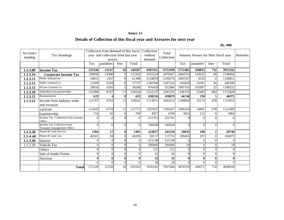#### **Annex 13**

## **Details of Collection of this fiscal year and Arreares for next year**

#### **Rs. 000**

| Account's<br>neading | Tax Headings                                              |                | Collection from demand of this fiscal<br>year and collection from last year<br>arrears |                |                | Collection<br>without<br>demand | Total<br>Collection |              | Amount Arrears for Next fiscal year |                 |          | Remarks |
|----------------------|-----------------------------------------------------------|----------------|----------------------------------------------------------------------------------------|----------------|----------------|---------------------------------|---------------------|--------------|-------------------------------------|-----------------|----------|---------|
|                      |                                                           | Tax            | panalties                                                                              | fees           | Total          |                                 |                     | Tax          | panalties                           | fees            | Total    |         |
| 1.1.3.00             | <b>Income Tax</b>                                         | 223344         | 21147                                                                                  | 16             | 244507         | 6507451                         | 6751958             | 3751485      | 169055                              | 752             | 3921292  |         |
| 1.1.3.10             | <b>Corporate Income Tax</b>                               | 100958         | 14380                                                                                  | 5 <sup>1</sup> | 115343         | 4355324                         | 4470667             | 2604743      | 143652                              | 69              | 2748464  |         |
| 1.1.3.11             | <b>Public Enterprises</b>                                 | 59831          | 1567                                                                                   | $\Omega$       | 61398          | 2128878                         | 2190276             | 1091597      | 9254                                | $\Omega$        | 1100851  |         |
| 1.1.3.12             | Public Limited Co.                                        | 11209          | 6528                                                                                   | $\theta$       | 17737          | 1349788                         | 1367525             | 416045       | 33301                               | 44              | 449390   |         |
| 1.1.3.13             | Private Limited Co.                                       | 29918          | 6285                                                                                   | $\mathfrak{S}$ | 36208          | 876658                          | 912866              | 1097101      | 101097                              | $\overline{25}$ | 1198223  |         |
| 1.1.3.20             | Individual and partnerships                               | 122386         | 6767                                                                                   | 11             | 129164         | 2152127                         | 2281291             | 1146742      | 25403<br>230                        | 683             | 1172828  |         |
| 1.1.3.21             | Remuneration                                              | 619            |                                                                                        | $\mathbf{0}$   | 623            | 438256                          | 438879              | 46740        |                                     | 5               | 46975    |         |
| 1.1.3.22             | Income from Industry trade                                | 121767         | 6763                                                                                   | 11             | 128541         | 1713871                         | 1842412             | 1100002      | 25173                               | 678             | 1125853  |         |
|                      | and vocation                                              |                |                                                                                        |                |                |                                 |                     |              |                                     |                 |          |         |
|                      | a.private                                                 | 121043         | 6718                                                                                   | 11             | 127772         | 1267655                         | 1395427             | 1096350      | 24961                               | 678             | 1121989  |         |
|                      | b.partnership                                             | 724            | 45                                                                                     | $\overline{0}$ | 769            | 4027                            | 4796                | 3652         | 212                                 | $\Omega$        | 3864     |         |
|                      | Income Tax Collection from customs<br>Office              | $\Omega$       | ∩                                                                                      | 0              | $\Omega$       | 251761                          | 251761              | 0            | $\Omega$                            | $\Omega$        | 0        |         |
|                      | Income Tax Collection from<br>Transport management Office | $\Omega$       | $\Omega$                                                                               | $\overline{0}$ | $\Omega$       | 190428                          | 190428              | $\Omega$     | $\Omega$                            | $\theta$        | $\Omega$ |         |
| 1.1.3.30             | House & Land rent tax                                     | 1384           | 17                                                                                     | $\bf{0}$       | 1401           | 243857                          | 245258              | 20635        | 109                                 | $\mathbf{2}$    | 20746    |         |
| $1.1 - 4 - 40$       | House & Land tax                                          | 46501          | 94                                                                                     | $\Omega$       | 46595          | 69117                           | 115712              | 106665       | 207                                 | $\Omega$        | 106872   |         |
| 1.1.3.40             | Interest                                                  | $\overline{0}$ | $\Omega$                                                                               | $\overline{0}$ | $\overline{0}$ | 415138                          | 415138              | $\Omega$     | $\theta$                            | $\overline{0}$  | $\Omega$ |         |
| 1.1.2.50             | Vehicle Tax                                               | $\theta$       | 0                                                                                      | $\overline{0}$ | $\Omega$       | 399496                          | 399496              | 10           | $\Omega$                            | $\theta$        | 10       |         |
|                      | <b>Others</b>                                             | $\Omega$       | ∩                                                                                      | $\overline{0}$ | $\Omega$       | 122                             | 122                 | $\Omega$     | $\Omega$                            | $\Omega$        | $\Omega$ |         |
|                      | Sale of tender Forms                                      | $\Omega$       | 0                                                                                      | $\overline{0}$ | $\Omega$       | 62                              | 62                  | $\Omega$     | $\Omega$                            | $\theta$        | $\Omega$ |         |
|                      | Auctions                                                  | $\mathbf{0}$   |                                                                                        | $\bf{0}$       | $\mathbf{0}$   | 32                              | 32                  | $\mathbf{0}$ | $\mathbf{0}$                        | 0               | $\bf{0}$ |         |
|                      |                                                           | $\Omega$       |                                                                                        | $\theta$       | $\Omega$       | 28                              | 28                  | $\Omega$     | $\Omega$                            | $\Omega$        | $\Omega$ |         |
|                      | <b>Total</b>                                              | 271229         | 21258                                                                                  | 16             | 292503         | 7635181                         | 7927684             | 3878795      | 169371                              | 754             | 4048920  |         |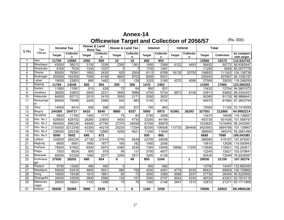# **Annex-14**

**Officewise Target and Collection of 2056/57** (Rs. 000)

|                  | Tax               | <b>Income Tax</b> |                       | House & Land<br><b>Rent Tax</b> |                       | <b>House &amp; Land Tax</b> |                       |               | <b>Interest</b>       |               | Vehicle               |               | <b>Total</b>      |                           |
|------------------|-------------------|-------------------|-----------------------|---------------------------------|-----------------------|-----------------------------|-----------------------|---------------|-----------------------|---------------|-----------------------|---------------|-------------------|---------------------------|
| S.No             | Offices           | Target            | <b>Collectio</b><br>n | <b>Target</b>                   | <b>Collectio</b><br>n | <b>Target</b>               | <b>Collectio</b><br>n | <b>Target</b> | <b>Collectio</b><br>n | <b>Target</b> | <b>Collectio</b><br>n | <b>Target</b> | <b>Collection</b> | As compare<br>with target |
| 1                | <b>Ilam</b>       | 11700             | 13560                 | 1050                            | 850                   | 10                          | $\overline{10}$       | 800           | 853                   |               |                       | 13560         | 15273             | 112.632743                |
| $\overline{2}$   | Bhadrapur         | 43000             | 38213                 | 3130                            | 3336                  | 2350                        | 1361                  | 1850          | 3369                  | 6122          | 4493                  | 56452         | 50772             | 89.9383547                |
| 3                | Dhankutta         | 8165              | 7034                  | 1330                            | 1037                  | 5                           | $\overline{7}$        | 1750          | 1491                  |               |                       | 11250         | 9569              | 85.0577778                |
| $\overline{4}$   | Dharan            | 80000             | 79391                 | 1850                            | 2430                  | 825                         | 2004                  | 6115          | 6768                  | 18130         | 20750                 | 106920        | 111343            | 104.136738                |
| 5                | Biratnagar        | 205500            | 182305                | 7090                            | 6158                  | 9850                        | 9703                  | 8000          | 9531                  |               |                       | 230440        | 207697            | 90.1306197                |
| 6                | Lahan             | 19000             | 23853                 | 885                             | 1482                  | 115                         | 129                   | 3325          | 3160                  | 4270          | 4006                  | 27595         | 32630             | 118.246059                |
| $\overline{7}$   | Rajbiraj          | 11760             | 14048                 | 830                             | 904                   | 290                         | 306                   | 1470          | 2402                  |               |                       | 14350         | 17660             | 123.066202                |
| 8                | Sarlahi           | 11900             | 11081                 | 510                             | 628                   | $\overline{72}$             | 64                    | 950           | 931                   |               |                       | 13432         | 12704             | 94.5801072                |
| $\boldsymbol{9}$ | Janakpur          | 36000             | 33603                 | 2940                            | 2231                  | 3600                        | 5986                  | 4700          | 5734                  | 6673          | 6108                  | 53913         | 53662             | 99.5344351                |
| 10               | Hetaunda          | 84500             | 82713                 | 2515                            | 2419                  | 3000                        | 2171                  | 2050          | 3832                  |               |                       | 92065         | 91135             | 98.9898441                |
| 11               | Narayanga<br>rh   | 88550             | 79999                 | 2425                            | 2586                  | 500                         | 665                   | 3100          | 8734                  |               |                       | 94575         | 91984             | 97.2603754                |
| 12               | Gaur              | 14000             | 9414                  | 550                             | 598                   | 200                         | 207                   | 750           | 963                   |               |                       | 15500         | 11182             | 72.1419355                |
| 13               | Birgunj           | 244300            | 164717                | 6410                            | 6540                  | 8880                        | 8337                  | 5950          | 6973                  | 61961         | 26293                 | 327501        | 212860            | 64.9952214                |
| 14               | <b>Dhulikhel</b>  | 9800              | 11780                 | 1450                            | 1177                  | $\overline{70}$             | $\overline{83}$       | 2150          | 3008                  |               |                       | 13470         | 16048             | 119.138827                |
| 15               | Ktm. No.1         | 428800            | 428702                | 26280                           | 23805                 | 5400                        | 4735                  | 33250         | 44184                 |               |                       | 493730        | 501426            | 101.558747                |
| 16               | Ktm. No.2         | 894000            | 856238                | 45000                           | 47790                 | 37370                       | 26558                 | 57250         | 85879                 |               |                       | 1033620       | 1016465           | 98.3402991                |
| 17               | Ktm. No.3         | 3150000           | 3212359               | 42300                           | 44219                 | 25230                       | 17294                 | 92300         | 106508                | 110733        | 284408                | 3420563       | 3664788           | 107.139907                |
| 18               | Ktm. No.4         | 338500            | 320238                | 11700                           | 12866                 | 5250                        | 4621                  | 11200         | 11649                 |               |                       | 366650        | 349374            | 95.2881495                |
| 19               | Ktm. No.5         | 5500              | 5552                  | 685                             | 672                   |                             |                       | 500           | 865                   |               |                       | 6685          | 7089              | 106.043381                |
| 20               | Lalitpur          | 335000            | 355234                | 27130                           | 27916                 | 3750                        | 6539                  | 22700         | 29508                 |               |                       | 388580        | 419197            | 107.879201                |
| $\overline{21}$  | Baglung           | 6600              | 8561                  | 1900                            | 1877                  | 160                         | 182                   | 1950          | 2006                  |               |                       | 10610         | 12626             | 119.000943                |
| 22               | Pokhara           | 78550             | 81842                 | 6000                            | 5970                  | 4380                        | 2536                  | 7300          | 10948                 | 19698         | 17255                 | 115928        | 118551            | 102.262611                |
| 23               | Palpa             | 7500              | 6634                  | 900                             | 979                   | 95                          | 131                   | 3750          | 4877                  |               |                       | 12245         | 12621             | 103.070641                |
| $\overline{24}$  | Bhairawa          | 85000             | 63329                 | 1950                            | 2577                  | 2280                        | 2917                  | 3200          | 4126                  |               |                       | 92430         | 72949             | 78.9235097                |
| 25               | Krishnana<br>gar  | 27500             | 28202                 | 680                             | 654                   | 0                           | 49                    | 850           | 2244                  |               | $\blacktriangleleft$  | 29030         | 31150             | 107.30279                 |
| 26               | Rajapur           | 9700              | 13305                 | 490                             | 460                   | 0                           |                       | 600           | 682                   |               |                       | 10790         | 14447             | 133.892493                |
| $\overline{27}$  | Nepalgunj         | 55000             | 53418                 | 4665                            | 4931                  | 980                         | 759                   | 4000          | 4491                  | 4778          | 6330                  | 69423         | 69929             | 100.728865                |
| 28               | Dang              | 16650             | 19338                 | 1810                            | 1661                  | 60                          | 73                    | 2650          | 3385                  | 6566          | 2037                  | 27736         | 26494             | 95.5220652                |
| 29               | Dhangadhi         | 35000             | 33538                 | 2600                            | 2585                  | 130                         | 151                   | 2950          | 2747                  | 6044          | 4330                  | 46724         | 43351             | 92.7810119                |
| $\overline{30}$  | Mahendra<br>nagar | 28000             | 16041                 | 1100                            | 1496                  | $\overline{75}$             | 76                    | 1550          | 2146                  | 2947          | 1512                  | 33672         | 21271             | 63.1711808                |
| $\overline{31}$  | Kalaiya           | 65000             | 58369                 | 3900                            | 3239                  | 6                           | 6                     | 1100          | 1039                  |               |                       | 70006         | 62653             | 89.4966146                |